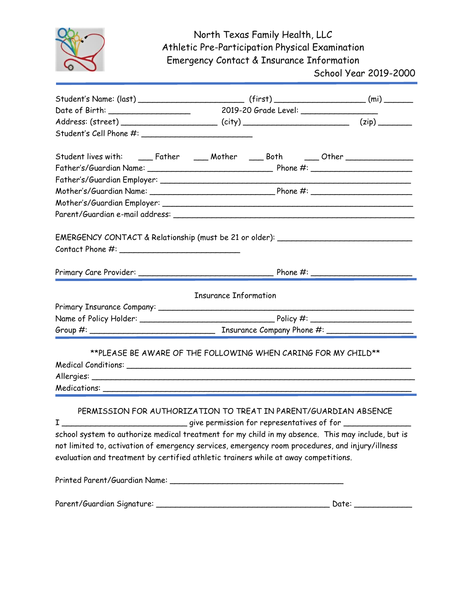

## North Texas Family Health, LLC Athletic Pre-Participation Physical Examination Emergency Contact & Insurance Information

School Year 2019-2000

| Student lives with: ______Father _______Mother _______Both ______Other __________                                                                                                      |  |  |  |
|----------------------------------------------------------------------------------------------------------------------------------------------------------------------------------------|--|--|--|
|                                                                                                                                                                                        |  |  |  |
|                                                                                                                                                                                        |  |  |  |
|                                                                                                                                                                                        |  |  |  |
|                                                                                                                                                                                        |  |  |  |
|                                                                                                                                                                                        |  |  |  |
|                                                                                                                                                                                        |  |  |  |
| EMERGENCY CONTACT & Relationship (must be 21 or older): ________________________                                                                                                       |  |  |  |
|                                                                                                                                                                                        |  |  |  |
|                                                                                                                                                                                        |  |  |  |
|                                                                                                                                                                                        |  |  |  |
|                                                                                                                                                                                        |  |  |  |
| <b>Insurance Information</b>                                                                                                                                                           |  |  |  |
|                                                                                                                                                                                        |  |  |  |
|                                                                                                                                                                                        |  |  |  |
|                                                                                                                                                                                        |  |  |  |
|                                                                                                                                                                                        |  |  |  |
| **PLEASE BE AWARE OF THE FOLLOWING WHEN CARING FOR MY CHILD**                                                                                                                          |  |  |  |
|                                                                                                                                                                                        |  |  |  |
|                                                                                                                                                                                        |  |  |  |
|                                                                                                                                                                                        |  |  |  |
| PERMISSION FOR AUTHORIZATION TO TREAT IN PARENT/GUARDIAN ABSENCE                                                                                                                       |  |  |  |
| I _______________________________give permission for representatives of for _________________                                                                                          |  |  |  |
| school system to authorize medical treatment for my child in my absence. This may include, but is                                                                                      |  |  |  |
|                                                                                                                                                                                        |  |  |  |
| not limited to, activation of emergency services, emergency room procedures, and injury/illness<br>evaluation and treatment by certified athletic trainers while at away competitions. |  |  |  |
|                                                                                                                                                                                        |  |  |  |
|                                                                                                                                                                                        |  |  |  |
|                                                                                                                                                                                        |  |  |  |
|                                                                                                                                                                                        |  |  |  |
|                                                                                                                                                                                        |  |  |  |